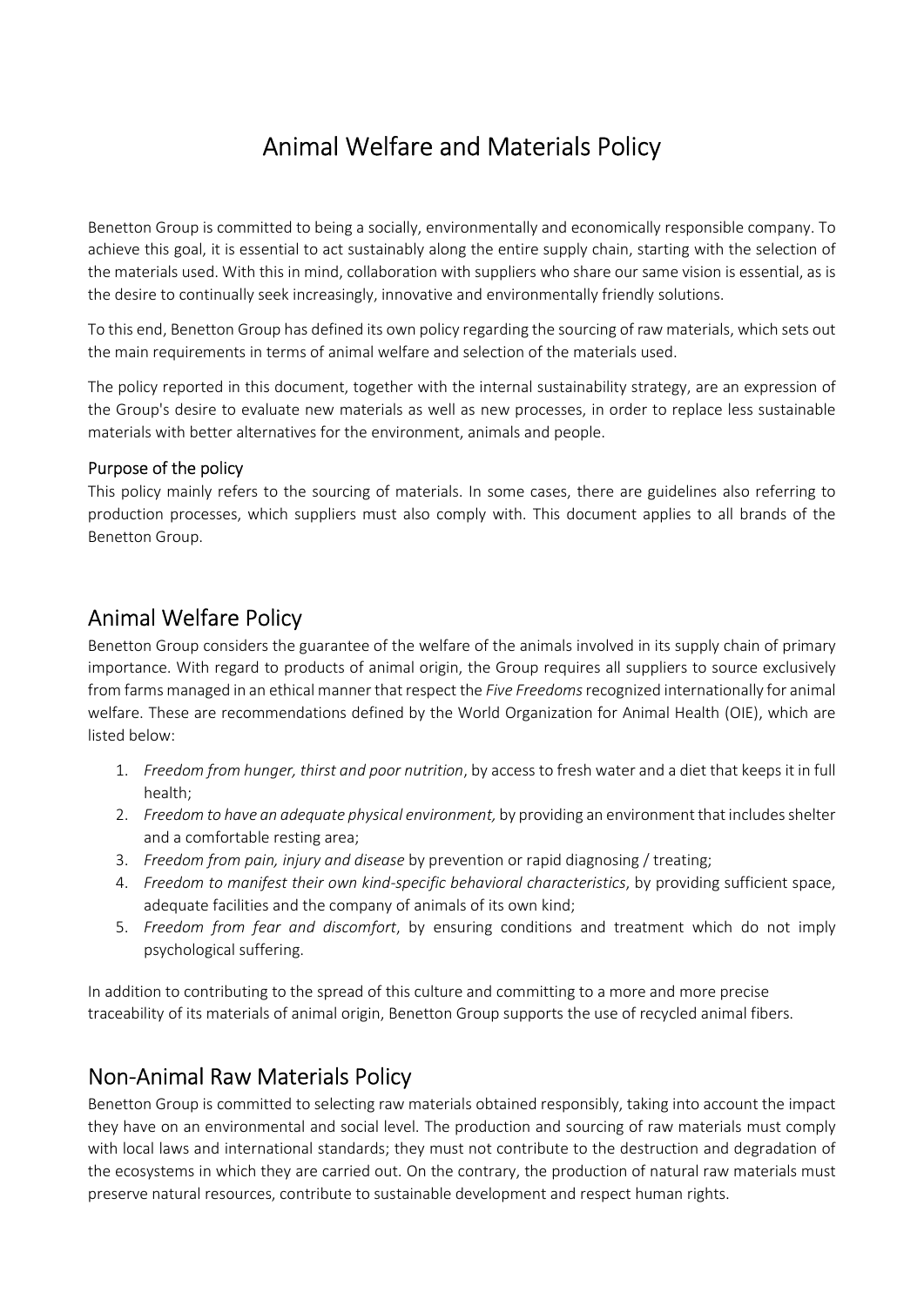# Animal Welfare and Materials Policy

Benetton Group is committed to being a socially, environmentally and economically responsible company. To achieve this goal, it is essential to act sustainably along the entire supply chain, starting with the selection of the materials used. With this in mind, collaboration with suppliers who share our same vision is essential, as is the desire to continually seek increasingly, innovative and environmentally friendly solutions.

To this end, Benetton Group has defined its own policy regarding the sourcing of raw materials, which sets out the main requirements in terms of animal welfare and selection of the materials used.

The policy reported in this document, together with the internal sustainability strategy, are an expression of the Group's desire to evaluate new materials as well as new processes, in order to replace less sustainable materials with better alternatives for the environment, animals and people.

#### Purpose of the policy

This policy mainly refers to the sourcing of materials. In some cases, there are guidelines also referring to production processes, which suppliers must also comply with. This document applies to all brands of the Benetton Group.

### Animal Welfare Policy

Benetton Group considers the guarantee of the welfare of the animals involved in its supply chain of primary importance. With regard to products of animal origin, the Group requires all suppliers to source exclusively from farms managed in an ethical manner that respect the Five Freedoms recognized internationally for animal welfare. These are recommendations defined by the World Organization for Animal Health (OIE), which are listed below:

- 1. Freedom from hunger, thirst and poor nutrition, by access to fresh water and a diet that keeps it in full health;
- 2. Freedom to have an adequate physical environment, by providing an environment that includes shelter and a comfortable resting area;
- 3. Freedom from pain, injury and disease by prevention or rapid diagnosing / treating;
- 4. Freedom to manifest their own kind-specific behavioral characteristics, by providing sufficient space, adequate facilities and the company of animals of its own kind;
- 5. Freedom from fear and discomfort, by ensuring conditions and treatment which do not imply psychological suffering.

In addition to contributing to the spread of this culture and committing to a more and more precise traceability of its materials of animal origin, Benetton Group supports the use of recycled animal fibers.

### Non-Animal Raw Materials Policy

Benetton Group is committed to selecting raw materials obtained responsibly, taking into account the impact they have on an environmental and social level. The production and sourcing of raw materials must comply with local laws and international standards; they must not contribute to the destruction and degradation of the ecosystems in which they are carried out. On the contrary, the production of natural raw materials must preserve natural resources, contribute to sustainable development and respect human rights.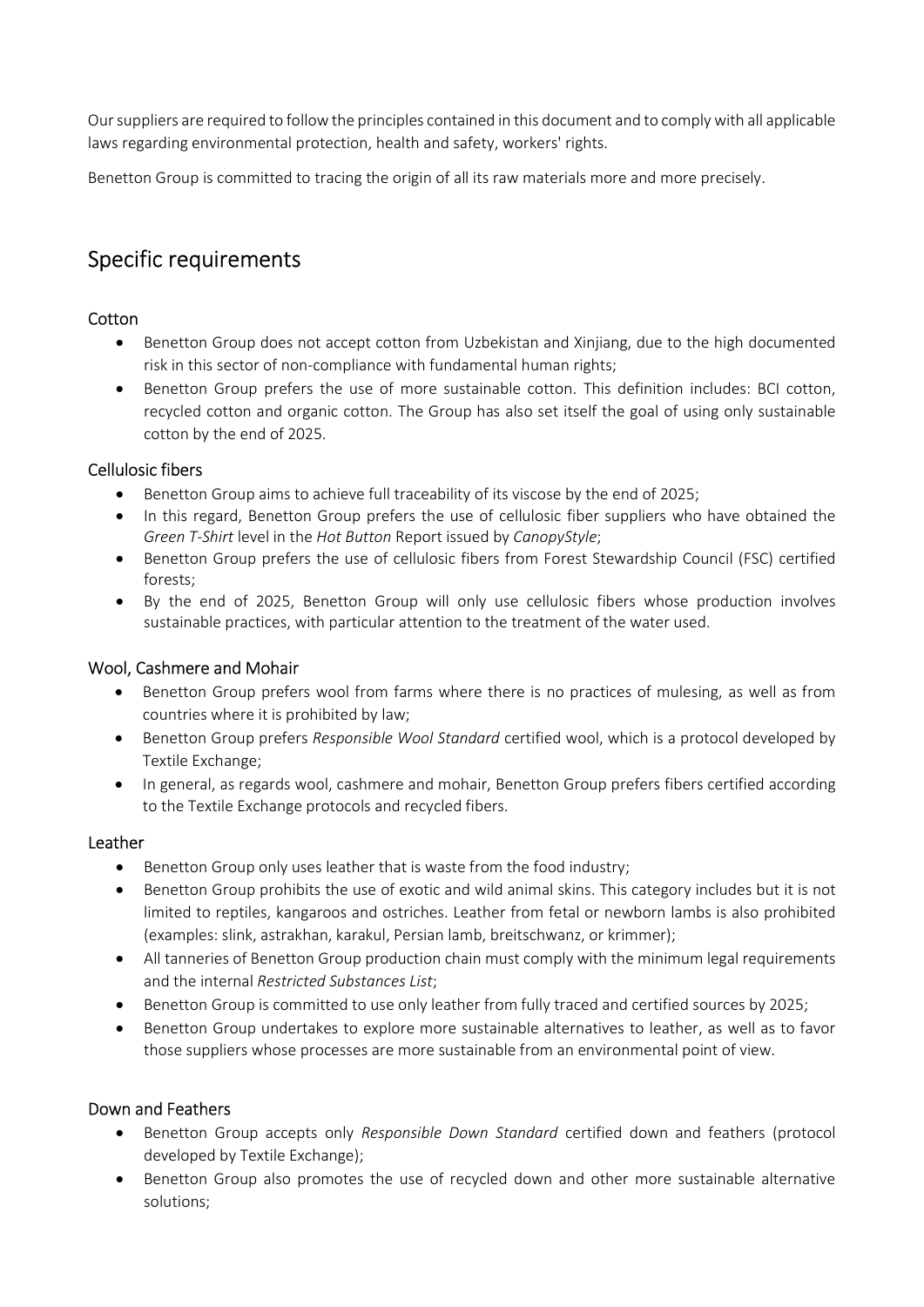Our suppliers are required to follow the principles contained in this document and to comply with all applicable laws regarding environmental protection, health and safety, workers' rights.

Benetton Group is committed to tracing the origin of all its raw materials more and more precisely.

## Specific requirements

#### **Cotton**

- Benetton Group does not accept cotton from Uzbekistan and Xinjiang, due to the high documented risk in this sector of non-compliance with fundamental human rights;
- Benetton Group prefers the use of more sustainable cotton. This definition includes: BCI cotton, recycled cotton and organic cotton. The Group has also set itself the goal of using only sustainable cotton by the end of 2025.

#### Cellulosic fibers

- Benetton Group aims to achieve full traceability of its viscose by the end of 2025;
- In this regard, Benetton Group prefers the use of cellulosic fiber suppliers who have obtained the Green T-Shirt level in the Hot Button Report issued by CanopyStyle;
- Benetton Group prefers the use of cellulosic fibers from Forest Stewardship Council (FSC) certified forests;
- By the end of 2025, Benetton Group will only use cellulosic fibers whose production involves sustainable practices, with particular attention to the treatment of the water used.

#### Wool, Cashmere and Mohair

- Benetton Group prefers wool from farms where there is no practices of mulesing, as well as from countries where it is prohibited by law;
- Benetton Group prefers Responsible Wool Standard certified wool, which is a protocol developed by Textile Exchange;
- In general, as regards wool, cashmere and mohair, Benetton Group prefers fibers certified according to the Textile Exchange protocols and recycled fibers.

#### Leather

- Benetton Group only uses leather that is waste from the food industry;
- Benetton Group prohibits the use of exotic and wild animal skins. This category includes but it is not limited to reptiles, kangaroos and ostriches. Leather from fetal or newborn lambs is also prohibited (examples: slink, astrakhan, karakul, Persian lamb, breitschwanz, or krimmer);
- All tanneries of Benetton Group production chain must comply with the minimum legal requirements and the internal Restricted Substances List;
- **Benetton Group is committed to use only leather from fully traced and certified sources by 2025;**
- Benetton Group undertakes to explore more sustainable alternatives to leather, as well as to favor those suppliers whose processes are more sustainable from an environmental point of view.

#### Down and Feathers

- Benetton Group accepts only Responsible Down Standard certified down and feathers (protocol developed by Textile Exchange);
- Benetton Group also promotes the use of recycled down and other more sustainable alternative solutions;